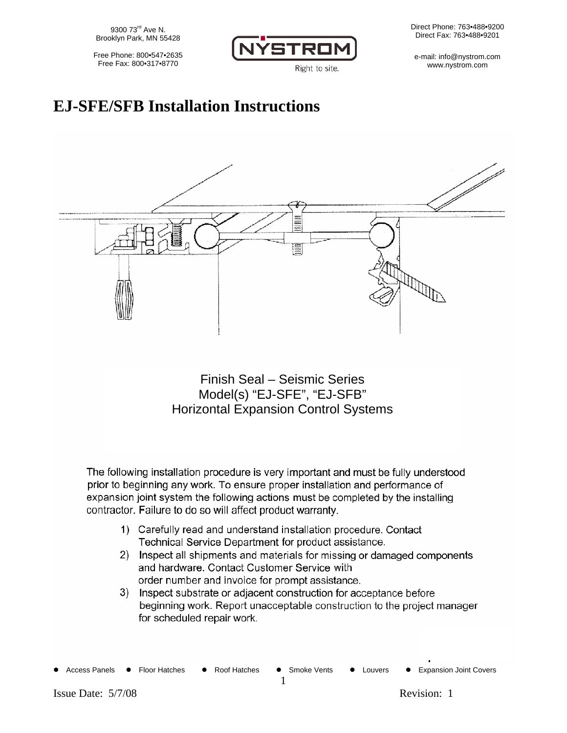9300 73<sup>rd</sup> Ave N. Brooklyn Park, MN 55428

Free Phone: 800•547•2635 Free Fax: 800•317•8770



Right to site.

Direct Phone: 763•488•9200 Direct Fax: 763•488•9201

e-mail: info@nystrom.com www.nystrom.com

## **EJ-SFE/SFB Installation Instructions**



Finish Seal – Seismic Series Model(s) "EJ-SFE", "EJ-SFB" Horizontal Expansion Control Systems

The following installation procedure is very important and must be fully understood prior to beginning any work. To ensure proper installation and performance of expansion joint system the following actions must be completed by the installing contractor. Failure to do so will affect product warranty.

- 1) Carefully read and understand installation procedure. Contact Technical Service Department for product assistance.
- 2) Inspect all shipments and materials for missing or damaged components and hardware. Contact Customer Service with order number and invoice for prompt assistance.
- 3) Inspect substrate or adjacent construction for acceptance before beginning work. Report unacceptable construction to the project manager for scheduled repair work.

• Access Panels • Floor Hatches • Roof Hatches • Smoke Vents • Louvers • Expansion Joint Covers

1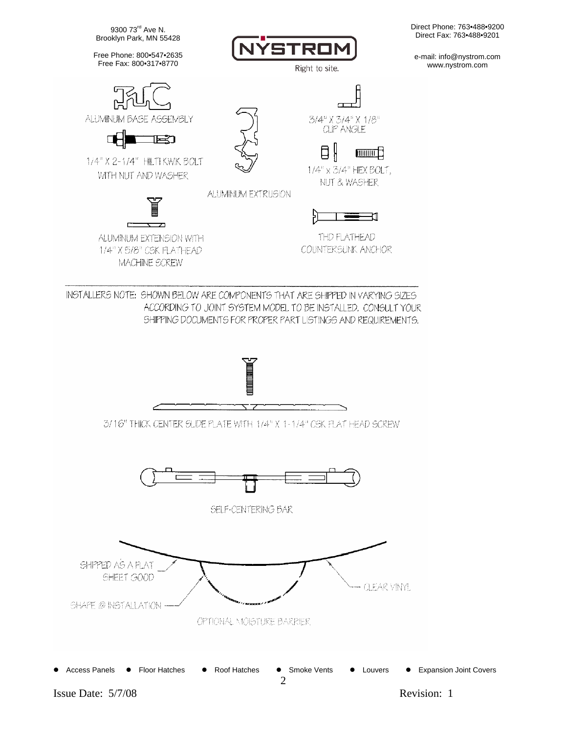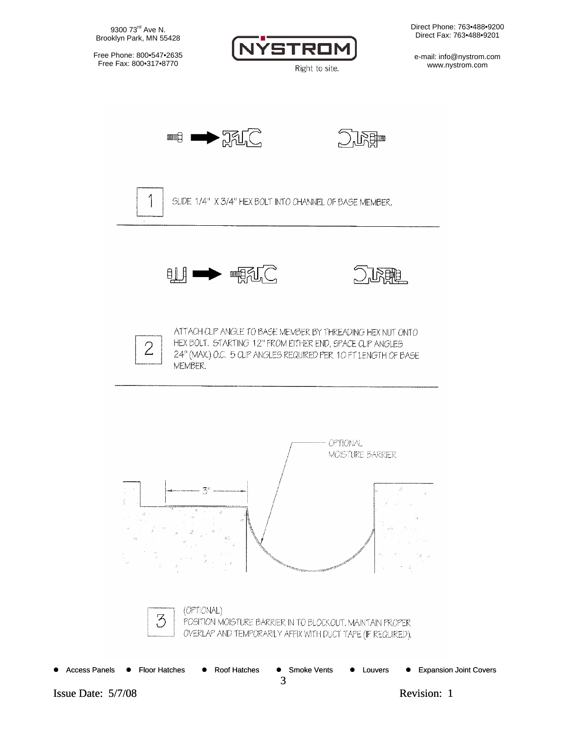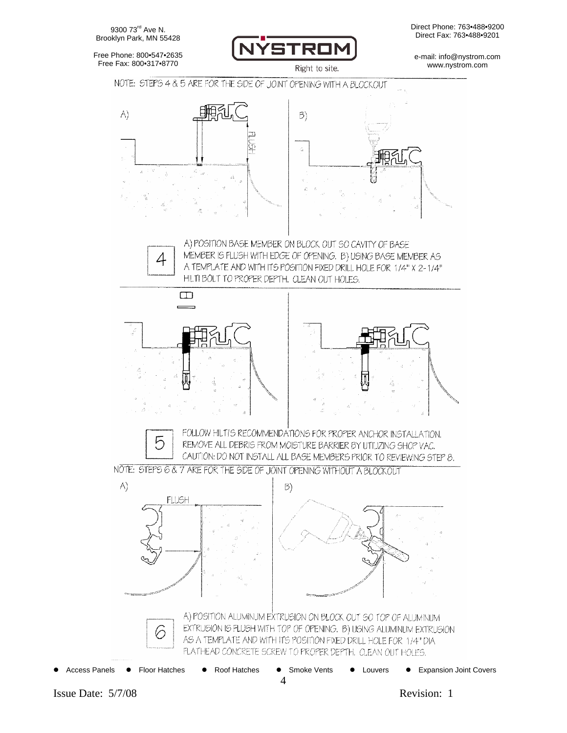9300 73<sup>rd</sup> Ave N. Brooklyn Park, MN 55428



e-mail: info@nystrom.com www.nystrom.com



Right to site.





4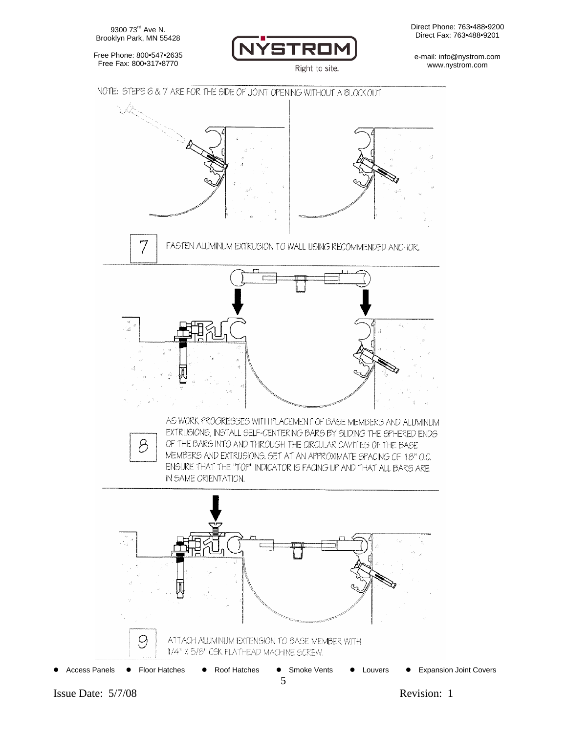9300 73<sup>rd</sup> Ave N. Brooklyn Park, MN 55428

Free Phone: 800•547•2635 Free Fax: 800•317•8770



Right to site.

e-mail: info@nystrom.com www.nystrom.com

## NOTE: STEPS 6 & 7 ARE FOR THE SIDE OF JOINT OPENING WITHOUT A BLOCKOUT